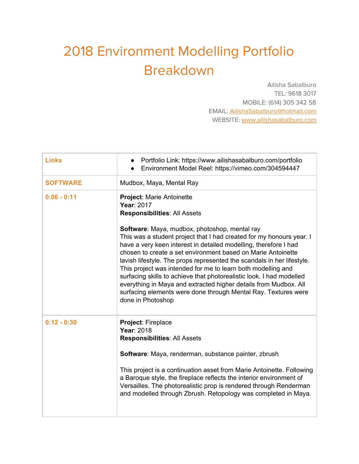## 2018 Environment Modelling Portfolio Breakdown

Ailisha Sabalburo TEL: 9618 3017 MOBILE: (614) 305 342 58 EMAIL: [AilishaSabalburo@hotmail.com](mailto:AilishaSabalburo@hotmail.com) WEBSITE: [www.ailishasabalburo.com](http://www.ailishasabalburo.com/)

| <b>Links</b>    | Portfolio Link: https://www.ailishasabalburo.com/portfolio<br>Environment Model Reel: https://vimeo.com/304594447                                                                                                                                                                                                                                                                                                                                                                                                                                                                                                                      |
|-----------------|----------------------------------------------------------------------------------------------------------------------------------------------------------------------------------------------------------------------------------------------------------------------------------------------------------------------------------------------------------------------------------------------------------------------------------------------------------------------------------------------------------------------------------------------------------------------------------------------------------------------------------------|
| <b>SOFTWARE</b> | Mudbox, Maya, Mental Ray                                                                                                                                                                                                                                                                                                                                                                                                                                                                                                                                                                                                               |
| $0:06 - 0:11$   | <b>Project: Marie Antoinette</b><br>Year: 2017<br><b>Responsibilities: All Assets</b>                                                                                                                                                                                                                                                                                                                                                                                                                                                                                                                                                  |
|                 | Software: Maya, mudbox, photoshop, mental ray<br>This was a student project that I had created for my honours year. I<br>have a very keen interest in detailed modelling, therefore I had<br>chosen to create a set environment based on Marie Antoinette<br>lavish lifestyle. The props represented the scandals in her lifestyle.<br>This project was intended for me to learn both modelling and<br>surfacing skills to achieve that photorealistic look. I had modelled<br>everything in Maya and extracted higher details from Mudbox. All<br>surfacing elements were done through Mental Ray. Textures were<br>done in Photoshop |
| $0:12 - 0:30$   | Project: Fireplace<br>Year: 2018<br><b>Responsibilities: All Assets</b><br>Software: Maya, renderman, substance painter, zbrush<br>This project is a continuation asset from Marie Antoinette. Following<br>a Baroque style, the fireplace reflects the interior environment of<br>Versailles. The photorealistic prop is rendered through Renderman<br>and modelled through Zbrush. Retopology was completed in Maya.                                                                                                                                                                                                                 |